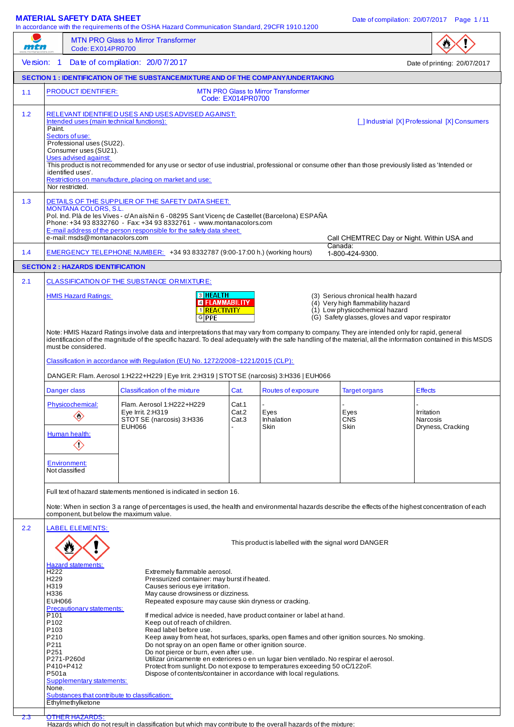### **MATERIAL SAFETY DATA SHEET** DATA SHEET ALL DATE OF COMPILATION Date of compilation: 20/07/2017 Page 1/11

In accordance with the requirements of the OSHA Hazard Communication Standard, 29CFR 1910.1200

| Code: EX014PR0700                |                                                                                                                                                                                                                                                                                                                                                                                                                                                                                                                                                    |                                                                                                                                                                                                                                                                                                                                                                                                                                                                                                                                                                                             |                                                                                                                                                                                                                                                                                                                                                                                                                                                                                                                |                                                                                                                                                                                                                                                                                                                                                                                                                                                                                                   |                                                                                                                                                                                                                                                                                                                                                                                                                                                                                                                                                                                                                                                                                                                                                                                                                                                                                                                                                                                                                                                                                                                                                                                                                                                                                                                                                                                                                                                                                                                                                                                                 |
|----------------------------------|----------------------------------------------------------------------------------------------------------------------------------------------------------------------------------------------------------------------------------------------------------------------------------------------------------------------------------------------------------------------------------------------------------------------------------------------------------------------------------------------------------------------------------------------------|---------------------------------------------------------------------------------------------------------------------------------------------------------------------------------------------------------------------------------------------------------------------------------------------------------------------------------------------------------------------------------------------------------------------------------------------------------------------------------------------------------------------------------------------------------------------------------------------|----------------------------------------------------------------------------------------------------------------------------------------------------------------------------------------------------------------------------------------------------------------------------------------------------------------------------------------------------------------------------------------------------------------------------------------------------------------------------------------------------------------|---------------------------------------------------------------------------------------------------------------------------------------------------------------------------------------------------------------------------------------------------------------------------------------------------------------------------------------------------------------------------------------------------------------------------------------------------------------------------------------------------|-------------------------------------------------------------------------------------------------------------------------------------------------------------------------------------------------------------------------------------------------------------------------------------------------------------------------------------------------------------------------------------------------------------------------------------------------------------------------------------------------------------------------------------------------------------------------------------------------------------------------------------------------------------------------------------------------------------------------------------------------------------------------------------------------------------------------------------------------------------------------------------------------------------------------------------------------------------------------------------------------------------------------------------------------------------------------------------------------------------------------------------------------------------------------------------------------------------------------------------------------------------------------------------------------------------------------------------------------------------------------------------------------------------------------------------------------------------------------------------------------------------------------------------------------------------------------------------------------|
|                                  |                                                                                                                                                                                                                                                                                                                                                                                                                                                                                                                                                    |                                                                                                                                                                                                                                                                                                                                                                                                                                                                                                                                                                                             |                                                                                                                                                                                                                                                                                                                                                                                                                                                                                                                |                                                                                                                                                                                                                                                                                                                                                                                                                                                                                                   | Date of printing: 20/07/2017                                                                                                                                                                                                                                                                                                                                                                                                                                                                                                                                                                                                                                                                                                                                                                                                                                                                                                                                                                                                                                                                                                                                                                                                                                                                                                                                                                                                                                                                                                                                                                    |
|                                  |                                                                                                                                                                                                                                                                                                                                                                                                                                                                                                                                                    |                                                                                                                                                                                                                                                                                                                                                                                                                                                                                                                                                                                             |                                                                                                                                                                                                                                                                                                                                                                                                                                                                                                                |                                                                                                                                                                                                                                                                                                                                                                                                                                                                                                   |                                                                                                                                                                                                                                                                                                                                                                                                                                                                                                                                                                                                                                                                                                                                                                                                                                                                                                                                                                                                                                                                                                                                                                                                                                                                                                                                                                                                                                                                                                                                                                                                 |
|                                  |                                                                                                                                                                                                                                                                                                                                                                                                                                                                                                                                                    |                                                                                                                                                                                                                                                                                                                                                                                                                                                                                                                                                                                             |                                                                                                                                                                                                                                                                                                                                                                                                                                                                                                                |                                                                                                                                                                                                                                                                                                                                                                                                                                                                                                   |                                                                                                                                                                                                                                                                                                                                                                                                                                                                                                                                                                                                                                                                                                                                                                                                                                                                                                                                                                                                                                                                                                                                                                                                                                                                                                                                                                                                                                                                                                                                                                                                 |
|                                  |                                                                                                                                                                                                                                                                                                                                                                                                                                                                                                                                                    |                                                                                                                                                                                                                                                                                                                                                                                                                                                                                                                                                                                             |                                                                                                                                                                                                                                                                                                                                                                                                                                                                                                                |                                                                                                                                                                                                                                                                                                                                                                                                                                                                                                   | [ ] Industrial [X] Professional [X] Consumers                                                                                                                                                                                                                                                                                                                                                                                                                                                                                                                                                                                                                                                                                                                                                                                                                                                                                                                                                                                                                                                                                                                                                                                                                                                                                                                                                                                                                                                                                                                                                   |
|                                  |                                                                                                                                                                                                                                                                                                                                                                                                                                                                                                                                                    |                                                                                                                                                                                                                                                                                                                                                                                                                                                                                                                                                                                             |                                                                                                                                                                                                                                                                                                                                                                                                                                                                                                                | Call CHEMTREC Day or Night. Within USA and<br>Canada:                                                                                                                                                                                                                                                                                                                                                                                                                                             |                                                                                                                                                                                                                                                                                                                                                                                                                                                                                                                                                                                                                                                                                                                                                                                                                                                                                                                                                                                                                                                                                                                                                                                                                                                                                                                                                                                                                                                                                                                                                                                                 |
|                                  |                                                                                                                                                                                                                                                                                                                                                                                                                                                                                                                                                    |                                                                                                                                                                                                                                                                                                                                                                                                                                                                                                                                                                                             |                                                                                                                                                                                                                                                                                                                                                                                                                                                                                                                | 1-800-424-9300.                                                                                                                                                                                                                                                                                                                                                                                                                                                                                   |                                                                                                                                                                                                                                                                                                                                                                                                                                                                                                                                                                                                                                                                                                                                                                                                                                                                                                                                                                                                                                                                                                                                                                                                                                                                                                                                                                                                                                                                                                                                                                                                 |
|                                  |                                                                                                                                                                                                                                                                                                                                                                                                                                                                                                                                                    |                                                                                                                                                                                                                                                                                                                                                                                                                                                                                                                                                                                             |                                                                                                                                                                                                                                                                                                                                                                                                                                                                                                                |                                                                                                                                                                                                                                                                                                                                                                                                                                                                                                   |                                                                                                                                                                                                                                                                                                                                                                                                                                                                                                                                                                                                                                                                                                                                                                                                                                                                                                                                                                                                                                                                                                                                                                                                                                                                                                                                                                                                                                                                                                                                                                                                 |
|                                  | <b>GPPE</b>                                                                                                                                                                                                                                                                                                                                                                                                                                                                                                                                        |                                                                                                                                                                                                                                                                                                                                                                                                                                                                                                                                                                                             |                                                                                                                                                                                                                                                                                                                                                                                                                                                                                                                |                                                                                                                                                                                                                                                                                                                                                                                                                                                                                                   |                                                                                                                                                                                                                                                                                                                                                                                                                                                                                                                                                                                                                                                                                                                                                                                                                                                                                                                                                                                                                                                                                                                                                                                                                                                                                                                                                                                                                                                                                                                                                                                                 |
|                                  |                                                                                                                                                                                                                                                                                                                                                                                                                                                                                                                                                    |                                                                                                                                                                                                                                                                                                                                                                                                                                                                                                                                                                                             |                                                                                                                                                                                                                                                                                                                                                                                                                                                                                                                |                                                                                                                                                                                                                                                                                                                                                                                                                                                                                                   |                                                                                                                                                                                                                                                                                                                                                                                                                                                                                                                                                                                                                                                                                                                                                                                                                                                                                                                                                                                                                                                                                                                                                                                                                                                                                                                                                                                                                                                                                                                                                                                                 |
| $\diamondsuit$<br>$\diamondsuit$ | Flam. Aerosol 1:H222+H229<br>Eye Irrit. 2:H319<br>STOT SE (narcosis) 3:H336<br>EUH066                                                                                                                                                                                                                                                                                                                                                                                                                                                              | Cat.1<br>Cat.2<br>Cat.3                                                                                                                                                                                                                                                                                                                                                                                                                                                                                                                                                                     | Eyes<br>Inhalation<br>Skin                                                                                                                                                                                                                                                                                                                                                                                                                                                                                     | Eyes<br><b>CNS</b><br>Skin                                                                                                                                                                                                                                                                                                                                                                                                                                                                        | <b>Effects</b><br>Irritation<br>Narcosis<br>Dryness, Cracking                                                                                                                                                                                                                                                                                                                                                                                                                                                                                                                                                                                                                                                                                                                                                                                                                                                                                                                                                                                                                                                                                                                                                                                                                                                                                                                                                                                                                                                                                                                                   |
|                                  |                                                                                                                                                                                                                                                                                                                                                                                                                                                                                                                                                    |                                                                                                                                                                                                                                                                                                                                                                                                                                                                                                                                                                                             |                                                                                                                                                                                                                                                                                                                                                                                                                                                                                                                |                                                                                                                                                                                                                                                                                                                                                                                                                                                                                                   |                                                                                                                                                                                                                                                                                                                                                                                                                                                                                                                                                                                                                                                                                                                                                                                                                                                                                                                                                                                                                                                                                                                                                                                                                                                                                                                                                                                                                                                                                                                                                                                                 |
|                                  | Read label before use.                                                                                                                                                                                                                                                                                                                                                                                                                                                                                                                             |                                                                                                                                                                                                                                                                                                                                                                                                                                                                                                                                                                                             |                                                                                                                                                                                                                                                                                                                                                                                                                                                                                                                |                                                                                                                                                                                                                                                                                                                                                                                                                                                                                                   |                                                                                                                                                                                                                                                                                                                                                                                                                                                                                                                                                                                                                                                                                                                                                                                                                                                                                                                                                                                                                                                                                                                                                                                                                                                                                                                                                                                                                                                                                                                                                                                                 |
|                                  | Version: 1<br>Paint.<br>Sectors of use:<br>Uses advised against:<br>identified uses'.<br>Nor restricted.<br><b>HMIS Hazard Ratings:</b><br>must be considered.<br>Danger class<br>Physicochemical:<br>Human health:<br><b>Environment:</b><br>Not classified<br><b>LABEL ELEMENTS:</b><br><b>Hazard statements:</b><br>H <sub>222</sub><br>H <sub>229</sub><br>H319<br>H336<br><b>EUH066</b><br>P <sub>101</sub><br>P <sub>102</sub><br>P <sub>103</sub><br>P210<br>P211<br>P251<br>P271-P260d<br>P410+P412<br>P501a<br>None.<br>Ethylmethylketone | Date of compilation: 20/07/2017<br><b>PRODUCT IDENTIFIER:</b><br>Intended uses (main technical functions):<br>Professional uses (SU22).<br>Consumer uses (SU21).<br>Restrictions on manufacture, placing on market and use:<br><b>MONTANA COLORS, S.L.</b><br>e-mail: msds@montanacolors.com<br><b>SECTION 2: HAZARDS IDENTIFICATION</b><br><b>CLASSIFICATION OF THE SUBSTANCE ORMIXTURE:</b><br><b>Classification of the mixture</b><br>component, but below the maximum value.<br>Precautionary statements:<br>Supplementary statements:<br>Substances that contribute to classification: | RELEVANT IDENTIFIED USES AND USES ADVISED AGAINST:<br>DETAILS OF THE SUPPLIER OF THE SAFETY DATA SHEET:<br>E-mail address of the person responsible for the safety data sheet:<br><b>3 HEALTH</b><br><b>4 FLAMMABILITY</b><br>1 REACTIVITY<br>Cat.<br>Full text of hazard statements mentioned is indicated in section 16.<br>Extremely flammable aerosol.<br>Causes serious eye irritation.<br>May cause drowsiness or dizziness.<br>Keep out of reach of children.<br>Do not pierce or burn, even after use. | <b>MTN PRO Glass to Mirror Transformer</b><br>Code: EX014PR0700<br>Phone: +34 93 8332760 - Fax: +34 93 8332761 - www.montanacolors.com<br>EMERGENCY TELEPHONE NUMBER: +34 93 8332787 (9:00-17:00 h.) (working hours)<br>Classification in accordance with Regulation (EU) No. 1272/2008~1221/2015 (CLP):<br>Routes of exposure<br>Pressurized container: may burst if heated.<br>Repeated exposure may cause skin dryness or cracking.<br>Do not spray on an open flame or other ignition source. | SECTION 1: IDENTIFICATION OF THE SUBSTANCE/MIXTURE AND OF THE COMPANY/UNDERTAKING<br>This product is not recommended for any use or sector of use industrial, professional or consume other than those previously listed as 'Intended or<br>Pol. Ind. Plà de les Vives - c/An aïs Nin 6 - 08295 Sant Vicenç de Castellet (Barcelona) ESPAÑA<br>(3) Serious chronical health hazard<br>(4) Very high flammability hazard<br>(1) Low physicochemical hazard<br>(G) Safety glasses, gloves and vapor respirator<br>Note: HMIS Hazard Ratings involve data and interpretations that may vary from company to company. They are intended only for rapid, general<br>identificacion of the magnitude of the specific hazard. To deal adequately with the safe handling of the material, all the information contained in this MSDS<br>DANGER: Flam. Aerosol 1:H222+H229   Eye Irrit. 2:H319   STOTSE (narcosis) 3:H336   EUH066<br><b>Target organs</b><br>Note: When in section 3 a range of percentages is used, the health and environmental hazards describe the effects of the highest concentration of each<br>This product is labelled with the signal word DANGER<br>If medical advice is needed, have product container or label at hand.<br>Keep away from heat, hot surfaces, sparks, open flames and other ignition sources. No smoking.<br>Utilizar únicamente en exteriores o en un lugar bien ventilado. No respirar el aerosol.<br>Protect from sunlight. Do not expose to temperatures exceeding 50 oC/122oF.<br>Dispose of contents/container in accordance with local regulations. |

2.3 OTHER HAZARDS:

Hazards which do not result in classification but which may contribute to the overall hazards of the mixture: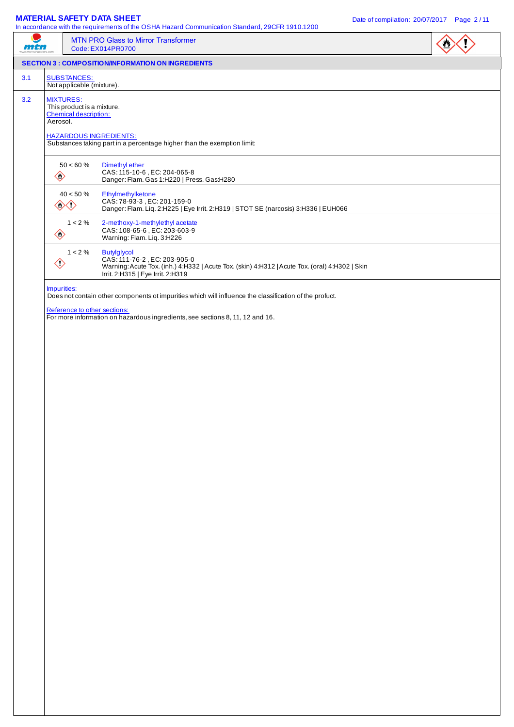#### **MATERIAL SAFETY DATA SHEET** DATA SHEET ALL DATE OF COMPILATION Date of compilation: 20/07/2017 Page 2/11

| 77747 |                |                                                                                | <b>MTN PRO Glass to Mirror Transformer</b><br>Code: EX014PR0700                                                                                                                           |  |
|-------|----------------|--------------------------------------------------------------------------------|-------------------------------------------------------------------------------------------------------------------------------------------------------------------------------------------|--|
|       |                |                                                                                | <b>SECTION 3 : COMPOSITION/INFORMATION ON INGREDIENTS</b>                                                                                                                                 |  |
| 3.1   |                | <b>SUBSTANCES:</b><br>Not applicable (mixture).                                |                                                                                                                                                                                           |  |
| 3.2   | Aerosol.       | <b>MIXTURES:</b><br>This product is a mixture.<br><b>Chemical description:</b> |                                                                                                                                                                                           |  |
|       |                |                                                                                | <b>HAZARDOUS INGREDIENTS:</b><br>Substances taking part in a percentage higher than the exemption limit:                                                                                  |  |
|       | $\diamondsuit$ | $50 < 60~\%$                                                                   | Dimethyl ether<br>CAS: 115-10-6, EC: 204-065-8<br>Danger: Flam. Gas 1:H220   Press. Gas:H280                                                                                              |  |
|       |                | $40 < 50~\%$<br>◇◇                                                             | Ethylmethylketone<br>CAS: 78-93-3, EC: 201-159-0<br>Danger: Flam. Liq. 2:H225   Eye Irrit. 2:H319   STOT SE (narcosis) 3:H336   EUH066                                                    |  |
|       | $\diamondsuit$ | $1 < 2 \%$                                                                     | 2-methoxy-1-methylethyl acetate<br>CAS: 108-65-6, EC: 203-603-9<br>Warning: Flam. Liq. 3:H226                                                                                             |  |
|       | $\diamondsuit$ | $1 < 2 \%$                                                                     | <b>Butylglycol</b><br>CAS: 111-76-2, EC: 203-905-0<br>Warning: Acute Tox. (inh.) 4:H332   Acute Tox. (skin) 4:H312   Acute Tox. (oral) 4:H302   Skin<br>Irrit. 2:H315   Eye Irrit. 2:H319 |  |
|       | Impurities:    |                                                                                | Does not contain other components ot impurities which will influence the classification of the profuct.<br>Reference to other sections:                                                   |  |
|       |                |                                                                                | For more information on hazardous ingredients, see sections 8, 11, 12 and 16.                                                                                                             |  |
|       |                |                                                                                |                                                                                                                                                                                           |  |
|       |                |                                                                                |                                                                                                                                                                                           |  |
|       |                |                                                                                |                                                                                                                                                                                           |  |
|       |                |                                                                                |                                                                                                                                                                                           |  |
|       |                |                                                                                |                                                                                                                                                                                           |  |
|       |                |                                                                                |                                                                                                                                                                                           |  |
|       |                |                                                                                |                                                                                                                                                                                           |  |
|       |                |                                                                                |                                                                                                                                                                                           |  |
|       |                |                                                                                |                                                                                                                                                                                           |  |
|       |                |                                                                                |                                                                                                                                                                                           |  |
|       |                |                                                                                |                                                                                                                                                                                           |  |
|       |                |                                                                                |                                                                                                                                                                                           |  |
|       |                |                                                                                |                                                                                                                                                                                           |  |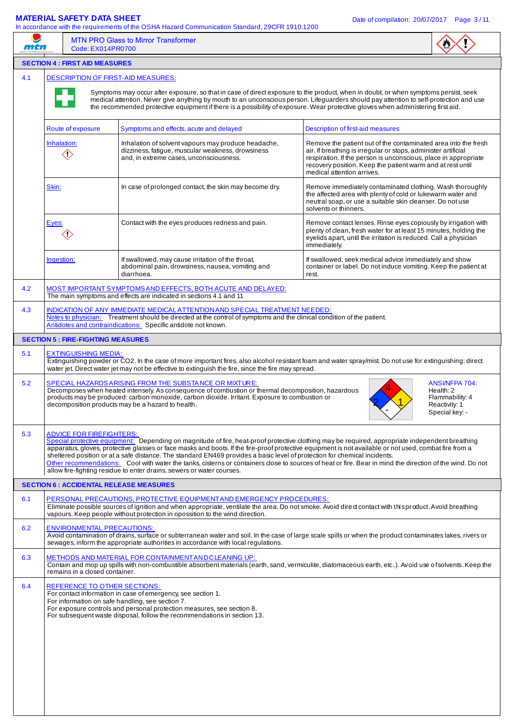|                   | mtn                                       | <b>MTN PRO Glass to Mirror Transformer</b><br>Code: EX014PR0700                                                                                                                                                                                                                                                                                                                                                                                                                                                                                                                                                                                                              |                                                                                                                                                                                                                                                                                                 |                                                                                   |
|-------------------|-------------------------------------------|------------------------------------------------------------------------------------------------------------------------------------------------------------------------------------------------------------------------------------------------------------------------------------------------------------------------------------------------------------------------------------------------------------------------------------------------------------------------------------------------------------------------------------------------------------------------------------------------------------------------------------------------------------------------------|-------------------------------------------------------------------------------------------------------------------------------------------------------------------------------------------------------------------------------------------------------------------------------------------------|-----------------------------------------------------------------------------------|
|                   | <b>SECTION 4 : FIRST AID MEASURES</b>     |                                                                                                                                                                                                                                                                                                                                                                                                                                                                                                                                                                                                                                                                              |                                                                                                                                                                                                                                                                                                 |                                                                                   |
| 4.1               |                                           | <b>DESCRIPTION OF FIRST-AID MEASURES:</b>                                                                                                                                                                                                                                                                                                                                                                                                                                                                                                                                                                                                                                    |                                                                                                                                                                                                                                                                                                 |                                                                                   |
|                   |                                           | Symptoms may occur after exposure, so that in case of direct exposure to the product, when in doubt, or when symptoms persist, seek<br>medical attention. Never give anything by mouth to an unconscious person. Lifeguarders should pay attention to self-protection and use<br>the recommended protective equipment if there is a possibility of exposure. Wear protective gloves when administering first aid.                                                                                                                                                                                                                                                            |                                                                                                                                                                                                                                                                                                 |                                                                                   |
|                   | Route of exposure                         | Symptoms and effects, acute and delayed                                                                                                                                                                                                                                                                                                                                                                                                                                                                                                                                                                                                                                      | Description of first-aid measures                                                                                                                                                                                                                                                               |                                                                                   |
|                   | Inhalation:<br>$\diamondsuit$             | Inhalation of solvent vapours may produce headache,<br>dizziness, fatigue, muscular weakness, drowsiness<br>and, in extreme cases, unconsciousness.                                                                                                                                                                                                                                                                                                                                                                                                                                                                                                                          | Remove the patient out of the contaminated area into the fresh<br>air. If breathing is irregular or stops, administer artificial<br>respiration. If the person is unconscious, place in appropriate<br>recovery position. Keep the patient warm and at rest until<br>medical attention arrives. |                                                                                   |
|                   | Skin:                                     | In case of prolonged contact, the skin may become dry.                                                                                                                                                                                                                                                                                                                                                                                                                                                                                                                                                                                                                       | Remove immediately contaminated clothing. Wash thoroughly<br>the affected area with plenty of cold or lukewarm water and<br>neutral soap, or use a suitable skin cleanser. Do not use<br>solvents or thinners.                                                                                  |                                                                                   |
|                   | Eyes:<br>$\langle \mathsf{r} \rangle$     | Contact with the eyes produces redness and pain.                                                                                                                                                                                                                                                                                                                                                                                                                                                                                                                                                                                                                             | Remove contact lenses. Rinse eyes copiously by irrigation with<br>plenty of clean, fresh water for at least 15 minutes, holding the<br>eyelids apart, until the irritation is reduced. Call a physician<br>immediately.                                                                         |                                                                                   |
|                   | Ingestion:                                | If swallowed, may cause irritation of the throat,<br>abdominal pain, drowsiness, nausea, vomiting and<br>diarrhoea.                                                                                                                                                                                                                                                                                                                                                                                                                                                                                                                                                          | If swallowed, seek medical advice immediately and show<br>container or label. Do not induce vomiting. Keep the patient at<br>rest.                                                                                                                                                              |                                                                                   |
| 4.2               |                                           | MOST IMPORTANT SYMPTOMS AND EFFECTS, BOTH ACUTE AND DELAYED:<br>The main symptoms and effects are indicated in sections 4.1 and 11                                                                                                                                                                                                                                                                                                                                                                                                                                                                                                                                           |                                                                                                                                                                                                                                                                                                 |                                                                                   |
| 4.3               |                                           | INDICATION OF ANY IMMEDIATE MEDICAL ATTENTION AND SPECIAL TREATMENT NEEDED:                                                                                                                                                                                                                                                                                                                                                                                                                                                                                                                                                                                                  |                                                                                                                                                                                                                                                                                                 |                                                                                   |
|                   |                                           | Notes to physician: Treatment should be directed at the control of symptoms and the clinical condition of the patient.<br>Antidotes and contraindications: Specific antidote not known.                                                                                                                                                                                                                                                                                                                                                                                                                                                                                      |                                                                                                                                                                                                                                                                                                 |                                                                                   |
|                   | <b>SECTION 5 : FIRE-FIGHTING MEASURES</b> |                                                                                                                                                                                                                                                                                                                                                                                                                                                                                                                                                                                                                                                                              |                                                                                                                                                                                                                                                                                                 |                                                                                   |
| 5.1               | <b>EXTINGUISHING MEDIA:</b>               | Extinguishing powder or CO2. In the case of more important fires, also alcohol resistant foam and water spray/mist. Do not use for extinguishing: direct<br>water jet. Direct water jet may not be effective to extinguish the fire, since the fire may spread.                                                                                                                                                                                                                                                                                                                                                                                                              |                                                                                                                                                                                                                                                                                                 |                                                                                   |
| 5.2               |                                           | SPECIAL HAZARDS ARISING FROM THE SUBSTANCE OR MIXTURE:<br>Decomposes when heated intensely. As consequence of combustion or thermal decomposition, hazardous<br>products may be produced: carbon monoxide, carbon dioxide. Irritant. Exposure to combustion or<br>decomposition products may be a hazard to health.                                                                                                                                                                                                                                                                                                                                                          |                                                                                                                                                                                                                                                                                                 | ANSI/NFPA 704:<br>Health: 2<br>Flammability: 4<br>Reactivity: 1<br>Special key: - |
|                   |                                           |                                                                                                                                                                                                                                                                                                                                                                                                                                                                                                                                                                                                                                                                              |                                                                                                                                                                                                                                                                                                 |                                                                                   |
|                   | <b>ADVICE FOR FIREFIGHTERS:</b>           | Special protective equipment: Depending on magnitude of fire, heat-proof protective clothing may be required, appropriate independent breathing<br>apparatus, gloves, protective glasses or face masks and boots. If the fire-proof protective equipment is not available or not used, combat fire from a<br>sheltered position or at a safe distance. The standard EN469 provides a basic level of protection for chemical incidents.<br>Other recommendations: Cool with water the tanks, cisterns or containers close to sources of heat or fire. Bear in mind the direction of the wind. Do not<br>allow fire-fighting residue to enter drains, sewers or water courses. |                                                                                                                                                                                                                                                                                                 |                                                                                   |
|                   |                                           | <b>SECTION 6 : ACCIDENTAL RELEASE MEASURES</b>                                                                                                                                                                                                                                                                                                                                                                                                                                                                                                                                                                                                                               |                                                                                                                                                                                                                                                                                                 |                                                                                   |
| 5.3<br>6.1        |                                           | PERSONAL PRECAUTIONS, PROTECTIVE EQUIPMENT AND EMERGENCY PROCEDURES:<br>Eliminate possible sources of ignition and when appropriate, ventilate the area. Do not smoke. Avoid dired contact with this product. Avoid breathing<br>vapours. Keep people without protection in opossition to the wind direction.                                                                                                                                                                                                                                                                                                                                                                |                                                                                                                                                                                                                                                                                                 |                                                                                   |
|                   | <b>ENVIRONMENTAL PRECAUTIONS:</b>         | Avoid contamination of drains, surface or subterranean water and soil. In the case of large scale spills or when the product contaminates lakes, rivers or<br>sewages, inform the appropriate authorities in accordance with local regulations.                                                                                                                                                                                                                                                                                                                                                                                                                              |                                                                                                                                                                                                                                                                                                 |                                                                                   |
|                   | remains in a closed container.            | METHODS AND MATERIAL FOR CONTAINMENT AND CLEANING UP:<br>Contain and mop up spills with non-combustible absorbent materials (earth, sand, vermiculite, diatomaceous earth, etc). Avoid use of solvents. Keep the                                                                                                                                                                                                                                                                                                                                                                                                                                                             |                                                                                                                                                                                                                                                                                                 |                                                                                   |
|                   |                                           | REFERENCE TO OTHER SECTIONS:<br>For contact information in case of emergency, see section 1.<br>For information on safe handling, see section 7.<br>For exposure controls and personal protection measures, see section 8.<br>For subsequent waste disposal, follow the recommendations in section 13.                                                                                                                                                                                                                                                                                                                                                                       |                                                                                                                                                                                                                                                                                                 |                                                                                   |
| 6.2<br>6.3<br>6.4 |                                           |                                                                                                                                                                                                                                                                                                                                                                                                                                                                                                                                                                                                                                                                              |                                                                                                                                                                                                                                                                                                 |                                                                                   |
|                   |                                           |                                                                                                                                                                                                                                                                                                                                                                                                                                                                                                                                                                                                                                                                              |                                                                                                                                                                                                                                                                                                 |                                                                                   |
|                   |                                           |                                                                                                                                                                                                                                                                                                                                                                                                                                                                                                                                                                                                                                                                              |                                                                                                                                                                                                                                                                                                 |                                                                                   |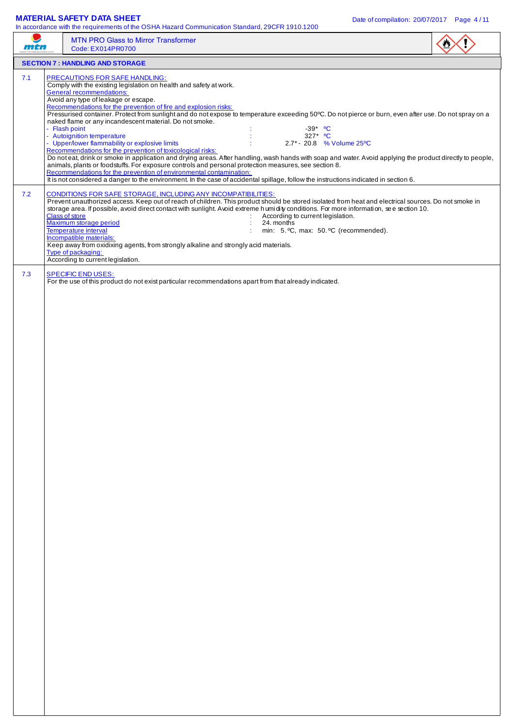### **MATERIAL SAFETY DATA SHEET** DATA SHEET ALL DATE OF COMPILATION Date of compilation: 20/07/2017 Page 4/11

|     | <b>MTN PRO Glass to Mirror Transformer</b><br>Code: EX014PR0700                                                                                                                                                                                                                                                                                                                                                                                                                                                                                                                                                                                                                                                                                                                                                                                                                                                                                                                                                                                                                                                                                                                          |  |
|-----|------------------------------------------------------------------------------------------------------------------------------------------------------------------------------------------------------------------------------------------------------------------------------------------------------------------------------------------------------------------------------------------------------------------------------------------------------------------------------------------------------------------------------------------------------------------------------------------------------------------------------------------------------------------------------------------------------------------------------------------------------------------------------------------------------------------------------------------------------------------------------------------------------------------------------------------------------------------------------------------------------------------------------------------------------------------------------------------------------------------------------------------------------------------------------------------|--|
|     | <b>SECTION 7: HANDLING AND STORAGE</b>                                                                                                                                                                                                                                                                                                                                                                                                                                                                                                                                                                                                                                                                                                                                                                                                                                                                                                                                                                                                                                                                                                                                                   |  |
| 7.1 | <b>PRECAUTIONS FOR SAFE HANDLING:</b><br>Comply with the existing legislation on health and safety at work.<br><b>General recommendations:</b><br>Avoid any type of leakage or escape.<br>Recommendations for the prevention of fire and explosion risks:<br>Pressurised container. Protect from sunlight and do not expose to temperature exceeding 50°C. Do not pierce or burn, even after use. Do not spray on a<br>naked flame or any incandescent material. Do not smoke.<br>- Flash point<br>$-39*$ °C<br>327* °C<br>- Autoignition temperature<br>- Upper/lower flammability or explosive limits<br>2.7* - 20.8 % Volume 25°C<br>Recommendations for the prevention of toxicological risks:<br>Do not eat, drink or smoke in application and drying areas. After handling, wash hands with soap and water. Avoid applying the product directly to people,<br>animals, plants or foodstuffs. For exposure controls and personal protection measures, see section 8.<br>Recommendations for the prevention of environmental contamination:<br>It is not considered a danger to the environment. In the case of accidental spillage, follow the instructions indicated in section 6. |  |
| 7.2 | <b>CONDITIONS FOR SAFE STORAGE, INCLUDING ANY INCOMPATIBILITIES:</b><br>Prevent unauthorized access. Keep out of reach of children. This product should be stored isolated from heat and electrical sources. Do not smoke in<br>storage area. If possible, avoid direct contact with sunlight. Avoid extreme humidity conditions. For more information, see section 10.<br><b>Class of store</b><br>According to current legislation.<br>Maximum storage period<br>24. months<br>Temperature interval<br>min: 5. °C, max: 50. °C (recommended).<br>Incompatible materials:<br>Keep away from oxidixing agents, from strongly alkaline and strongly acid materials.<br>Type of packaging:<br>According to current legislation.                                                                                                                                                                                                                                                                                                                                                                                                                                                            |  |
| 7.3 | <b>SPECIFIC END USES:</b><br>For the use of this product do not exist particular recommendations apart from that already indicated.                                                                                                                                                                                                                                                                                                                                                                                                                                                                                                                                                                                                                                                                                                                                                                                                                                                                                                                                                                                                                                                      |  |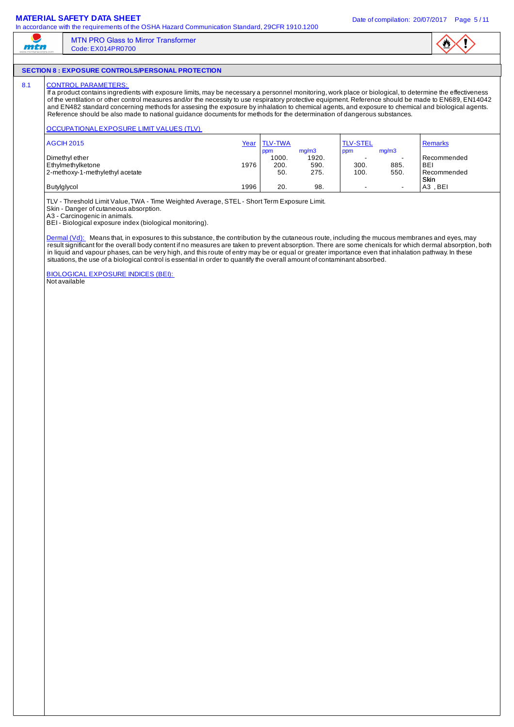### **MATERIAL SAFETY DATA SHEET DATA SHEET DATA SHEET Date of compilation: 20/07/2017** Page 5/11

ر mtn

In accordance with the requirements of the OSHA Hazard Communication Standard, 29CFR 1910.1200

## **SECTION 8 : EXPOSURE CONTROLS/PERSONAL PROTECTION**

MTN PRO Glass to Mirror Transformer

Code: EX014PR0700

# 8.1 CONTROL PARAMETERS

If a product contains ingredients with exposure limits, may be necessary a personnel monitoring, work place or biological, to determine the effectiveness of the ventilation or other control measures and/or the necessity to use respiratory protective equipment. Reference should be made to EN689, EN14042 and EN482 standard concerning methods for assesing the exposure by inhalation to chemical agents, and exposure to chemical and biological agents. Reference should be also made to national guidance documents for methods for the determination of dangerous substances.

### OCCUPATIONAL EXPOSURE LIMIT VALUES (TLV)

| <b>AGCIH 2015</b>               | Year | <b>TLV-TWA</b> |                | <b>TLV-STEL</b> |                          | <b>Remarks</b> |
|---------------------------------|------|----------------|----------------|-----------------|--------------------------|----------------|
| Dimethyl ether                  |      | ppm<br>1000.   | mq/m3<br>1920. | ppm<br>-        | mg/m3<br>۰               | Recommended    |
|                                 |      |                |                |                 |                          |                |
| Ethylmethylketone               | 1976 | 200.           | 590.           | 300.            | 885.                     | <b>BEI</b>     |
| 2-methoxy-1-methylethyl acetate |      | 50.            | 275.           | 100.            | 550.                     | Recommended    |
|                                 |      |                |                |                 |                          | Skin           |
| Butylglycol                     | 1996 | 20.            | 98.            | -               | $\overline{\phantom{0}}$ | . BEI<br>AЗ    |

TLV - Threshold Limit Value, TWA - Time Weighted Average, STEL - Short Term Exposure Limit.

Skin - Danger of cutaneous absorption.

A3 - Carcinogenic in animals.

BEI - Biological exposure index (biological monitoring).

Dermal (Vd): Means that, in exposures to this substance, the contribution by the cutaneous route, including the mucous membranes and eyes, may result significant for the overall body content if no measures are taken to prevent absorption. There are some chenicals for which dermal absorption, both in liquid and vapour phases, can be very high, and this route of entry may be or equal or greater importance even that inhalation pathway. In these situations, the use of a biological control is essential in order to quantify the overall amount of contaminant absorbed.

BIOLOGICAL EXPOSURE INDICES (BEI): Not available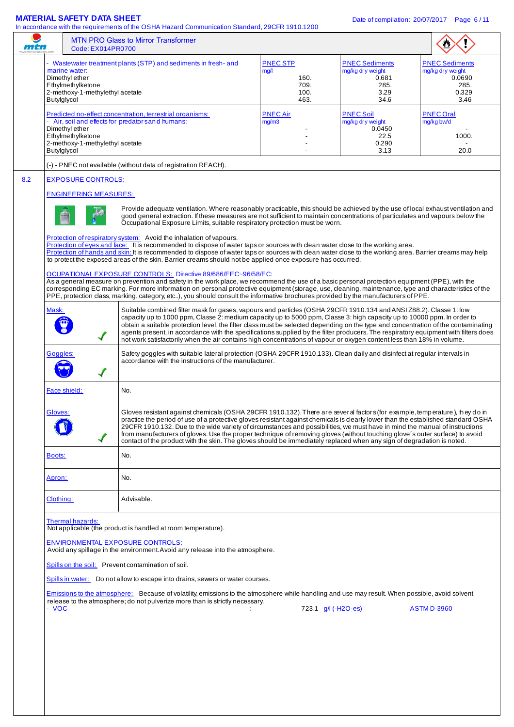**MATERIAL SAFETY DATA SHEET**<br>In accordance with the requirements of the OSHA Hazard Communication Standard, 29CER 1910 1200. In accordance with the requirements of the OSHA Hazard Communication Standard, 29CFR 1910.1200

| mth                                                                                                    | <b>MTN PRO Glass to Mirror Transformer</b><br>Code: EX014PR0700                                                                                                                                                                                                                                                                                                                                                                                                                                                                                                                                                                                                                                                                                                                                                                                                                                                                                                                                                                                                                |                                                         |                                                                            |                                                                              |
|--------------------------------------------------------------------------------------------------------|--------------------------------------------------------------------------------------------------------------------------------------------------------------------------------------------------------------------------------------------------------------------------------------------------------------------------------------------------------------------------------------------------------------------------------------------------------------------------------------------------------------------------------------------------------------------------------------------------------------------------------------------------------------------------------------------------------------------------------------------------------------------------------------------------------------------------------------------------------------------------------------------------------------------------------------------------------------------------------------------------------------------------------------------------------------------------------|---------------------------------------------------------|----------------------------------------------------------------------------|------------------------------------------------------------------------------|
| marine water:<br>Dimethyl ether<br>Ethylmethylketone<br>2-methoxy-1-methylethyl acetate<br>Butylglycol | - Wastewater treatment plants (STP) and sediments in fresh- and                                                                                                                                                                                                                                                                                                                                                                                                                                                                                                                                                                                                                                                                                                                                                                                                                                                                                                                                                                                                                | <b>PNEC STP</b><br>mg/l<br>160.<br>709.<br>100.<br>463. | <b>PNEC Sediments</b><br>mg/kg dry weight<br>0.681<br>285.<br>3.29<br>34.6 | <b>PNEC Sediments</b><br>mg/kg dry weight<br>0.0690<br>285.<br>0.329<br>3.46 |
| Dimethyl ether<br>Ethylmethylketone<br>2-methoxy-1-methylethyl acetate<br>Butylglycol                  | Predicted no-effect concentration, terrestrial organisms:<br>- Air, soil and effects for predator sand humans:                                                                                                                                                                                                                                                                                                                                                                                                                                                                                                                                                                                                                                                                                                                                                                                                                                                                                                                                                                 | <b>PNEC Air</b><br>mg/m3                                | <b>PNEC Soil</b><br>mg/kg dry weight<br>0.0450<br>22.5<br>0.290<br>3.13    | <b>PNEC Oral</b><br>mg/kg bw/d<br>1000.<br>20.0                              |
|                                                                                                        | (-) - PNEC not available (without data of registration REACH).                                                                                                                                                                                                                                                                                                                                                                                                                                                                                                                                                                                                                                                                                                                                                                                                                                                                                                                                                                                                                 |                                                         |                                                                            |                                                                              |
| <b>EXPOSURE CONTROLS:</b><br><b>ENGINEERING MEASURES:</b>                                              | Provide adequate ventilation. Where reasonably practicable, this should be achieved by the use of local exhaust ventilation and<br>good general extraction. If these measures are not sufficient to maintain concentrations of particulates and vapours below the                                                                                                                                                                                                                                                                                                                                                                                                                                                                                                                                                                                                                                                                                                                                                                                                              |                                                         |                                                                            |                                                                              |
|                                                                                                        | Occupational Exposure Limits, suitable respiratory protection must be worn.<br>Protection of respiratory system: Avoid the inhalation of vapours.<br>Protection of eyes and face: It is recommended to dispose of water taps or sources with clean water close to the working area.<br>Protection of hands and skin: It is recommended to dispose of water taps or sources with clean water close to the working area. Barrier creams may help<br>to protect the exposed areas of the skin. Barrier creams should not be applied once exposure has occurred.<br>OCUPATIONAL EXPOSURE CONTROLS: Directive 89/686/EEC~96/58/EC:<br>As a general measure on prevention and safety in the work place, we recommend the use of a basic personal protection equipment (PPE), with the<br>corresponding EC marking. For more information on personal protective equipment (storage, use, cleaning, maintenance, type and characteristics of the<br>PPE, protection class, marking, category, etc), you should consult the informative brochures provided by the manufacturers of PPE. |                                                         |                                                                            |                                                                              |
| Mask:<br>✔                                                                                             | Suitable combined filter mask for gases, vapours and particles (OSHA 29CFR 1910.134 and ANSI Z88.2). Classe 1: low<br>capacity up to 1000 ppm, Classe 2: medium capacity up to 5000 ppm, Classe 3: high capacity up to 10000 ppm. In order to<br>obtain a suitable protection level, the filter class must be selected depending on the type and concentration of the contaminating<br>agents present, in accordance with the specifications supplied by the filter producers. The respiratory equipment with filters does<br>not work satisfactorily when the air contains high concentrations of vapour or oxygen content less than 18% in volume.                                                                                                                                                                                                                                                                                                                                                                                                                           |                                                         |                                                                            |                                                                              |
| Goggles:<br>$\checkmark$                                                                               | Safety goggles with suitable lateral protection (OSHA 29CFR 1910.133). Clean daily and disinfect at regular intervals in<br>accordance with the instructions of the manufacturer.                                                                                                                                                                                                                                                                                                                                                                                                                                                                                                                                                                                                                                                                                                                                                                                                                                                                                              |                                                         |                                                                            |                                                                              |
| Face shield:                                                                                           | No.                                                                                                                                                                                                                                                                                                                                                                                                                                                                                                                                                                                                                                                                                                                                                                                                                                                                                                                                                                                                                                                                            |                                                         |                                                                            |                                                                              |
| Gloves:<br>$\blacktriangledown$                                                                        | Gloves resistant against chemicals (OSHA 29CFR 1910.132). There are sever al factors (for example, temperature), they do in<br>practice the period of use of a protective gloves resistant against chemicals is clearly lower than the established standard OSHA<br>29CFR 1910.132. Due to the wide variety of circumstances and possibilities, we must have in mind the manual of instructions<br>from manufacturers of gloves. Use the proper technique of removing gloves (without touching glove's outer surface) to avoid<br>contact of the product with the skin. The gloves should be immediately replaced when any sign of degradation is noted.                                                                                                                                                                                                                                                                                                                                                                                                                       |                                                         |                                                                            |                                                                              |
| <b>Boots:</b>                                                                                          | No.                                                                                                                                                                                                                                                                                                                                                                                                                                                                                                                                                                                                                                                                                                                                                                                                                                                                                                                                                                                                                                                                            |                                                         |                                                                            |                                                                              |
| Apron:                                                                                                 | No.                                                                                                                                                                                                                                                                                                                                                                                                                                                                                                                                                                                                                                                                                                                                                                                                                                                                                                                                                                                                                                                                            |                                                         |                                                                            |                                                                              |
| Clothing:                                                                                              | Advisable.                                                                                                                                                                                                                                                                                                                                                                                                                                                                                                                                                                                                                                                                                                                                                                                                                                                                                                                                                                                                                                                                     |                                                         |                                                                            |                                                                              |
| Thermal hazards:<br>- VOC                                                                              | Not applicable (the product is handled at room temperature).<br><b>ENVIRONMENTAL EXPOSURE CONTROLS:</b><br>Avoid any spillage in the environment. Avoid any release into the atmosphere.<br>Spills on the soil: Prevent contamination of soil.<br>Spills in water: Do not allow to escape into drains, sewers or water courses.<br>Emissions to the atmosphere: Because of volatility, emissions to the atmosphere while handling and use may result. When possible, avoid solvent<br>release to the atmosphere; do not pulverize more than is strictly necessary.                                                                                                                                                                                                                                                                                                                                                                                                                                                                                                             |                                                         | 723.1 $g/$ (-H2O-es)                                                       | <b>ASTM D-3960</b>                                                           |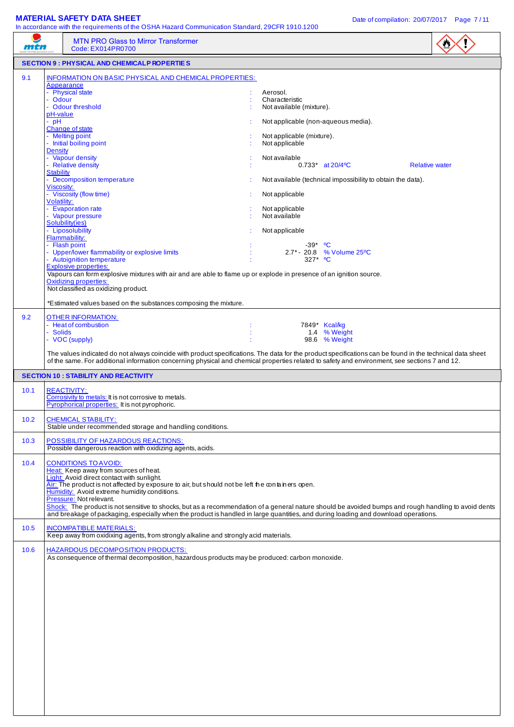#### **MATERIAL SAFETY DATA SHEET** DATA SHEET ALL DATE OF COMPILATION Date of compilation: 20/07/2017 Page 7/11

| mtn  | In accordance with the requirements of the OSHA Hazard Communication Standard, 29CFR 1910.1200<br><b>MTN PRO Glass to Mirror Transformer</b><br>Code: EX014PR0700                                                                                                                                                                                                                                                                                                                                                                                                                                                                                                                                                                                                                                                                                                                                |                                                                                                                                                                                                                                                                                                                                                                                                                      |
|------|--------------------------------------------------------------------------------------------------------------------------------------------------------------------------------------------------------------------------------------------------------------------------------------------------------------------------------------------------------------------------------------------------------------------------------------------------------------------------------------------------------------------------------------------------------------------------------------------------------------------------------------------------------------------------------------------------------------------------------------------------------------------------------------------------------------------------------------------------------------------------------------------------|----------------------------------------------------------------------------------------------------------------------------------------------------------------------------------------------------------------------------------------------------------------------------------------------------------------------------------------------------------------------------------------------------------------------|
|      | <b>SECTION 9 : PHYSICAL AND CHEMICALP ROPERTIES</b>                                                                                                                                                                                                                                                                                                                                                                                                                                                                                                                                                                                                                                                                                                                                                                                                                                              |                                                                                                                                                                                                                                                                                                                                                                                                                      |
| 9.1  | <b>INFORMATION ON BASIC PHYSICAL AND CHEMICAL PROPERTIES:</b><br>Appearance<br>- Physical state<br>- Odour<br>Odour threshold<br>pH-value<br>- pH<br>Change of state<br>- Melting point<br>- Initial boiling point<br><b>Density</b><br>- Vapour density<br>- Relative density<br><b>Stability</b><br>- Decomposition temperature<br>Viscosity:<br>- Viscosity (flow time)<br>Volatility:<br>- Evaporation rate<br>- Vapour pressure<br>Solubility(ies)<br>- Liposolubility<br>Flammability:<br>- Flash point<br>- Upper/lower flammability or explosive limits<br>- Autoignition temperature<br><b>Explosive properties:</b><br>Vapours can form explosive mixtures with air and are able to flame up or explode in presence of an ignition source.<br><b>Oxidizing properties:</b><br>Not classified as oxidizing product.<br>*Estimated values based on the substances composing the mixture. | Aerosol.<br>Characteristic<br>Not available (mixture).<br>Not applicable (non-aqueous media).<br>Not applicable (mixture).<br>Not applicable<br>Not available<br>$0.733*$ at 20/4 °C<br><b>Relative water</b><br>Not available (technical impossibility to obtain the data).<br>Not applicable<br>Not applicable<br>Not available<br>Not applicable<br>$-39*$ °C<br>2.7* - 20.8 % Volume 25°C<br>327* <sup>o</sup> C |
| 9.2  | <b>OTHER INFORMATION:</b><br>- Heat of combustion<br>- Solids<br>- VOC (supply)                                                                                                                                                                                                                                                                                                                                                                                                                                                                                                                                                                                                                                                                                                                                                                                                                  | 7849* Kcal/kg<br>1.4 % Weight<br>98.6 % Weight<br>The values indicated do not always coincide with product specifications. The data for the product specifications can be found in the technical data sheet<br>of the same. For additional information concerning physical and chemical properties related to safety and environment, see sections 7 and 12.                                                         |
|      | <b>SECTION 10 : STABILITY AND REACTIVITY</b>                                                                                                                                                                                                                                                                                                                                                                                                                                                                                                                                                                                                                                                                                                                                                                                                                                                     |                                                                                                                                                                                                                                                                                                                                                                                                                      |
| 10.1 | <b>REACTIVITY:</b><br>Corrosivity to metals: It is not corrosive to metals.<br>Pyrophorical properties: It is not pyrophoric.                                                                                                                                                                                                                                                                                                                                                                                                                                                                                                                                                                                                                                                                                                                                                                    |                                                                                                                                                                                                                                                                                                                                                                                                                      |
| 10.2 | <b>CHEMICAL STABILITY:</b><br>Stable under recommended storage and handling conditions.                                                                                                                                                                                                                                                                                                                                                                                                                                                                                                                                                                                                                                                                                                                                                                                                          |                                                                                                                                                                                                                                                                                                                                                                                                                      |
| 10.3 | POSSIBILITY OF HAZARDOUS REACTIONS:<br>Possible dangerous reaction with oxidizing agents, acids.                                                                                                                                                                                                                                                                                                                                                                                                                                                                                                                                                                                                                                                                                                                                                                                                 |                                                                                                                                                                                                                                                                                                                                                                                                                      |
| 10.4 | <b>CONDITIONS TO AVOID:</b><br>Heat: Keep away from sources of heat.<br>Light: Avoid direct contact with sunlight.<br>Air: The product is not affected by exposure to air, but should not be left the containers open.<br>Humidity: Avoid extreme humidity conditions.<br>Pressure: Not relevant.<br>and breakage of packaging, especially when the product is handled in large quantities, and during loading and download operations.                                                                                                                                                                                                                                                                                                                                                                                                                                                          | Shock: The product is not sensitive to shocks, but as a recommendation of a general nature should be avoided bumps and rough handling to avoid dents                                                                                                                                                                                                                                                                 |
| 10.5 | <b>INCOMPATIBLE MATERIALS:</b><br>Keep away from oxidixing agents, from strongly alkaline and strongly acid materials.                                                                                                                                                                                                                                                                                                                                                                                                                                                                                                                                                                                                                                                                                                                                                                           |                                                                                                                                                                                                                                                                                                                                                                                                                      |
| 10.6 | <b>HAZARDOUS DECOMPOSITION PRODUCTS:</b><br>As consequence of thermal decomposition, hazardous products may be produced: carbon monoxide.                                                                                                                                                                                                                                                                                                                                                                                                                                                                                                                                                                                                                                                                                                                                                        |                                                                                                                                                                                                                                                                                                                                                                                                                      |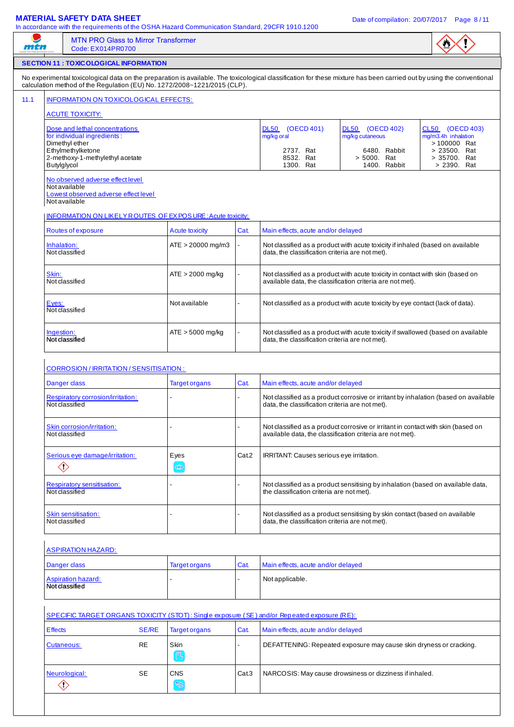## **MATERIAL SAFETY DATA SHEET** DATA SHEET ALL DATE OF COMPILATION Date of compilation: 20/07/2017 Page 8/11

|--|

|                                                                                    | <b>MTN PRO Glass to Mirror Transformer</b><br>Code: EX014PR0700                                            |              |                                                                          |       |                                                                                                                                                                       |                                                                                                                                               |                                                        |  |  |
|------------------------------------------------------------------------------------|------------------------------------------------------------------------------------------------------------|--------------|--------------------------------------------------------------------------|-------|-----------------------------------------------------------------------------------------------------------------------------------------------------------------------|-----------------------------------------------------------------------------------------------------------------------------------------------|--------------------------------------------------------|--|--|
|                                                                                    | <b>SECTION 11 : TOXICOLOGICAL INFORMATION</b>                                                              |              |                                                                          |       |                                                                                                                                                                       |                                                                                                                                               |                                                        |  |  |
|                                                                                    |                                                                                                            |              | calculation method of the Regulation (EU) No. 1272/2008~1221/2015 (CLP). |       | No experimental toxicological data on the preparation is available. The toxicological classification for these mixture has been carried out by using the conventional |                                                                                                                                               |                                                        |  |  |
|                                                                                    | INFORMATION ON TOXICOLOGICAL EFFECTS:                                                                      |              |                                                                          |       |                                                                                                                                                                       |                                                                                                                                               |                                                        |  |  |
|                                                                                    | <b>ACUTE TOXICITY:</b>                                                                                     |              |                                                                          |       |                                                                                                                                                                       |                                                                                                                                               |                                                        |  |  |
|                                                                                    | Dose and lethal concentrations<br>for individual ingredients:<br>Dimethyl ether                            |              |                                                                          |       | <b>DL50</b><br>(OECD 401)<br>mg/kg oral                                                                                                                               | DL50 (OECD 402)<br>mg/kg cutaneous                                                                                                            | CL50 (OECD 403)<br>mg/m3.4h inhalation<br>> 100000 Rat |  |  |
| Butylglycol                                                                        | Ethylmethylketone<br>2-methoxy-1-methylethyl acetate                                                       |              |                                                                          |       | 2737. Rat<br>6480. Rabbit<br>> 23500. Rat<br>8532. Rat<br>> 5000. Rat<br>> 35700. Rat<br>1300. Rat<br>1400. Rabbit<br>> 2390. Rat                                     |                                                                                                                                               |                                                        |  |  |
|                                                                                    | No observed adverse effect level<br>Not available<br>Lowest observed adverse effect level<br>Not available |              |                                                                          |       |                                                                                                                                                                       |                                                                                                                                               |                                                        |  |  |
|                                                                                    |                                                                                                            |              | INFORMATION ON LIKELY ROUTES OF EX POSURE: Acute toxicity:               |       |                                                                                                                                                                       |                                                                                                                                               |                                                        |  |  |
| Routes of exposure<br>Acute toxicity<br>Cat.<br>Main effects, acute and/or delayed |                                                                                                            |              |                                                                          |       |                                                                                                                                                                       |                                                                                                                                               |                                                        |  |  |
| Inhalation:                                                                        | Not classified                                                                                             |              | $ATE > 20000$ mg/m3                                                      |       | Not classified as a product with acute toxicity if inhaled (based on available<br>data, the classification criteria are not met).                                     |                                                                                                                                               |                                                        |  |  |
| Skin:                                                                              | Not classified                                                                                             |              | $ATE > 2000$ mg/kg                                                       |       | Not classified as a product with acute toxicity in contact with skin (based on<br>available data, the classification criteria are not met).                           |                                                                                                                                               |                                                        |  |  |
| Eyes:                                                                              | Not classified                                                                                             |              | Not available                                                            |       | Not classified as a product with acute toxicity by eye contact (lack of data).                                                                                        |                                                                                                                                               |                                                        |  |  |
| Ingestion:                                                                         | Not classified                                                                                             |              | ATE > 5000 mg/kg                                                         |       | Not classified as a product with acute toxicity if swallowed (based on available<br>data, the classification criteria are not met).                                   |                                                                                                                                               |                                                        |  |  |
|                                                                                    | CORROSION / IRRITATION / SENSITISATION :                                                                   |              |                                                                          |       |                                                                                                                                                                       |                                                                                                                                               |                                                        |  |  |
|                                                                                    | Danger class                                                                                               |              | <b>Target organs</b>                                                     | Cat.  | Main effects, acute and/or delayed                                                                                                                                    |                                                                                                                                               |                                                        |  |  |
|                                                                                    | Respiratory corrosion/irritation:<br>Not classified                                                        |              |                                                                          |       | data, the classification criteria are not met).                                                                                                                       | Not classified as a product corrosive or irritant by inhalation (based on available                                                           |                                                        |  |  |
|                                                                                    | Skin corrosion/irritation:<br>Not classified                                                               |              |                                                                          |       |                                                                                                                                                                       | Not classified as a product corrosive or irritant in contact with skin (based on<br>available data, the classification criteria are not met). |                                                        |  |  |
|                                                                                    | Serious eye damage/irritation:<br>$\diamondsuit$                                                           |              | Eyes<br>$\circledcirc$                                                   | Cat.2 | IRRITANT: Causes serious eye irritation.                                                                                                                              |                                                                                                                                               |                                                        |  |  |
|                                                                                    | <b>Respiratory sensitisation:</b><br>Not classified                                                        |              |                                                                          |       | the classification criteria are not met).                                                                                                                             | Not classified as a product sensitising by inhalation (based on available data,                                                               |                                                        |  |  |
|                                                                                    | Skin sensitisation:<br>Not classified                                                                      |              |                                                                          |       | data, the classification criteria are not met).                                                                                                                       | Not classified as a product sensitising by skin contact (based on available                                                                   |                                                        |  |  |
|                                                                                    | <b>ASPIRATION HAZARD:</b>                                                                                  |              |                                                                          |       |                                                                                                                                                                       |                                                                                                                                               |                                                        |  |  |
|                                                                                    | Danger class                                                                                               |              | <b>Target organs</b>                                                     | Cat.  | Main effects, acute and/or delayed                                                                                                                                    |                                                                                                                                               |                                                        |  |  |
|                                                                                    | <b>Aspiration hazard:</b><br>Not classified                                                                |              |                                                                          |       | Not applicable.                                                                                                                                                       |                                                                                                                                               |                                                        |  |  |
|                                                                                    |                                                                                                            |              |                                                                          |       | SPECIFIC TARGET ORGANS TOXICITY (STOT): Single exposure (SE) and/or Repeated exposure (RE):                                                                           |                                                                                                                                               |                                                        |  |  |
| <b>E</b> ffects                                                                    |                                                                                                            | <b>SE/RE</b> | <b>Target organs</b>                                                     | Cat.  | Main effects, acute and/or delayed                                                                                                                                    |                                                                                                                                               |                                                        |  |  |
|                                                                                    | Cutaneous:                                                                                                 | RE           | Skin<br>吗                                                                |       |                                                                                                                                                                       | DEFATTENING: Repeated exposure may cause skin dryness or cracking.                                                                            |                                                        |  |  |
|                                                                                    | Neurological:<br>$\diamondsuit$                                                                            | <b>SE</b>    | <b>CNS</b><br>E                                                          | Cat.3 |                                                                                                                                                                       | NARCOSIS: May cause drowsiness or dizziness if inhaled.                                                                                       |                                                        |  |  |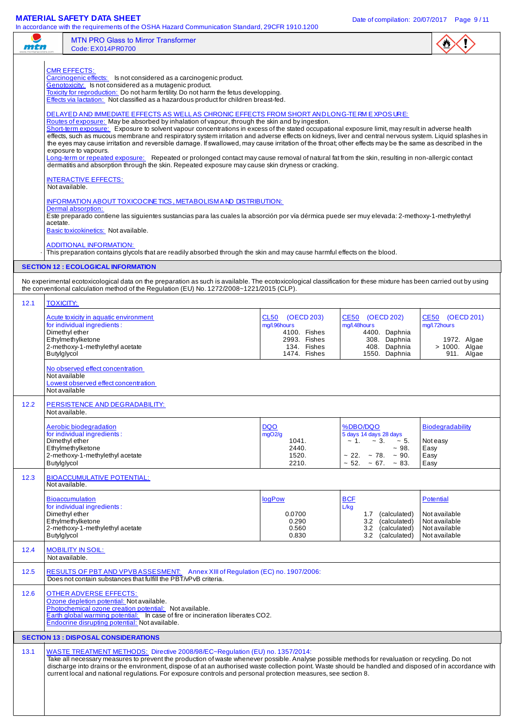|      |                                                                                                                                                                                                                                                                                                                                                                                                                                                                                                                                                                                                                                                                                                                                                                                                                                                                                                                                                                                                                                                                                                                                                                                                                                                                                                                                                                                                                                                                                                                                                                                                                                                                                                                                                                                                                        | <b>MTN PRO Glass to Mirror Transformer</b><br>Code: EX014PR0700                                                                                                                                                                                                                                                                                                                                                                                                                                               |                                                                                                |                                                                                                                                                          |                                                                               |  |  |
|------|------------------------------------------------------------------------------------------------------------------------------------------------------------------------------------------------------------------------------------------------------------------------------------------------------------------------------------------------------------------------------------------------------------------------------------------------------------------------------------------------------------------------------------------------------------------------------------------------------------------------------------------------------------------------------------------------------------------------------------------------------------------------------------------------------------------------------------------------------------------------------------------------------------------------------------------------------------------------------------------------------------------------------------------------------------------------------------------------------------------------------------------------------------------------------------------------------------------------------------------------------------------------------------------------------------------------------------------------------------------------------------------------------------------------------------------------------------------------------------------------------------------------------------------------------------------------------------------------------------------------------------------------------------------------------------------------------------------------------------------------------------------------------------------------------------------------|---------------------------------------------------------------------------------------------------------------------------------------------------------------------------------------------------------------------------------------------------------------------------------------------------------------------------------------------------------------------------------------------------------------------------------------------------------------------------------------------------------------|------------------------------------------------------------------------------------------------|----------------------------------------------------------------------------------------------------------------------------------------------------------|-------------------------------------------------------------------------------|--|--|
|      | <b>CMR EFFECTS:</b><br>Carcinogenic effects: Is not considered as a carcinogenic product.<br>Genotoxicity: Is not considered as a mutagenic product.<br>Toxicity for reproduction: Do not harm fertility. Do not harm the fetus developping.<br>Effects via lactation: Not classified as a hazardous product for children breast-fed.<br>DELAYED AND IMMEDIATE EFFECTS AS WELLAS CHRONIC EFFECTS FROM SHORT AND LONG-TE RM EXPOSURE:<br>Routes of exposure: May be absorbed by inhalation of vapour, through the skin and by ingestion.<br>Short-term exposure: Exposure to solvent vapour concentrations in excess of the stated occupational exposure limit, may result in adverse health<br>effects, such as mucous membrane and respiratory system irritation and adverse effects on kidneys, liver and central nervous system. Liquid splashes in<br>the eyes may cause irritation and reversible damage. If swallowed, may cause irritation of the throat; other effects may be the same as described in the<br>exposure to vapours.<br>Long-term or repeated exposure: Repeated or prolonged contact may cause removal of natural fat from the skin, resulting in non-allergic contact<br>dermatitis and absorption through the skin. Repeated exposure may cause skin dryness or cracking.<br><b>INTERACTIVE EFFECTS:</b><br>Not available.<br><b>INFORMATION ABOUT TOXICOCINE TICS, METABOLISM AND DISTRIBUTION:</b><br>Dermal absorption:<br>Este preparado contiene las siguientes sustancias para las cuales la absorción por vía dérmica puede ser muy elevada: 2-methoxy-1-methylethyl<br>acetate.<br>Basic toxicokinetics: Not available.<br><b>ADDITIONAL INFORMATION:</b><br>This preparation contains glycols that are readily absorbed through the skin and may cause harmful effects on the blood. |                                                                                                                                                                                                                                                                                                                                                                                                                                                                                                               |                                                                                                |                                                                                                                                                          |                                                                               |  |  |
|      |                                                                                                                                                                                                                                                                                                                                                                                                                                                                                                                                                                                                                                                                                                                                                                                                                                                                                                                                                                                                                                                                                                                                                                                                                                                                                                                                                                                                                                                                                                                                                                                                                                                                                                                                                                                                                        | <b>SECTION 12 : ECOLOGICAL INFORMATION</b>                                                                                                                                                                                                                                                                                                                                                                                                                                                                    |                                                                                                |                                                                                                                                                          |                                                                               |  |  |
|      |                                                                                                                                                                                                                                                                                                                                                                                                                                                                                                                                                                                                                                                                                                                                                                                                                                                                                                                                                                                                                                                                                                                                                                                                                                                                                                                                                                                                                                                                                                                                                                                                                                                                                                                                                                                                                        | No experimental ecotoxicological data on the preparation as such is available. The ecotoxicological classification for these mixture has been carried out by using<br>the conventional calculation method of the Regulation (EU) No. 1272/2008~1221/2015 (CLP).                                                                                                                                                                                                                                               |                                                                                                |                                                                                                                                                          |                                                                               |  |  |
| 12.1 | <b>TOXICITY:</b>                                                                                                                                                                                                                                                                                                                                                                                                                                                                                                                                                                                                                                                                                                                                                                                                                                                                                                                                                                                                                                                                                                                                                                                                                                                                                                                                                                                                                                                                                                                                                                                                                                                                                                                                                                                                       |                                                                                                                                                                                                                                                                                                                                                                                                                                                                                                               |                                                                                                |                                                                                                                                                          |                                                                               |  |  |
|      | Dimethyl ether<br>Butylglycol                                                                                                                                                                                                                                                                                                                                                                                                                                                                                                                                                                                                                                                                                                                                                                                                                                                                                                                                                                                                                                                                                                                                                                                                                                                                                                                                                                                                                                                                                                                                                                                                                                                                                                                                                                                          | Acute toxicity in aquatic environment<br>for individual ingredients:<br>Ethylmethylketone<br>2-methoxy-1-methylethyl acetate<br>No observed effect concentration                                                                                                                                                                                                                                                                                                                                              | CL50 (OECD 203)<br>mg/l.96hours<br>4100. Fishes<br>2993. Fishes<br>134. Fishes<br>1474. Fishes | CE50 (OECD 202)<br>mg/l.48hours<br>4400. Daphnia<br>308. Daphnia<br>408. Daphnia<br>1550. Daphnia                                                        | CE50 (OECD 201)<br>mg/l.72hours<br>1972. Algae<br>> 1000. Algae<br>911. Algae |  |  |
|      | Not available<br>Not available                                                                                                                                                                                                                                                                                                                                                                                                                                                                                                                                                                                                                                                                                                                                                                                                                                                                                                                                                                                                                                                                                                                                                                                                                                                                                                                                                                                                                                                                                                                                                                                                                                                                                                                                                                                         | Lowest observed effect concentration                                                                                                                                                                                                                                                                                                                                                                                                                                                                          |                                                                                                |                                                                                                                                                          |                                                                               |  |  |
| 12.2 | Not available.                                                                                                                                                                                                                                                                                                                                                                                                                                                                                                                                                                                                                                                                                                                                                                                                                                                                                                                                                                                                                                                                                                                                                                                                                                                                                                                                                                                                                                                                                                                                                                                                                                                                                                                                                                                                         | PERSISTENCE AND DEGRADABILITY:                                                                                                                                                                                                                                                                                                                                                                                                                                                                                |                                                                                                |                                                                                                                                                          |                                                                               |  |  |
|      | Dimethyl ether<br>Butylglycol                                                                                                                                                                                                                                                                                                                                                                                                                                                                                                                                                                                                                                                                                                                                                                                                                                                                                                                                                                                                                                                                                                                                                                                                                                                                                                                                                                                                                                                                                                                                                                                                                                                                                                                                                                                          | Aerobic biodegradation<br>for individual ingredients:<br>Ethylmethylketone<br>2-methoxy-1-methylethyl acetate                                                                                                                                                                                                                                                                                                                                                                                                 | <b>DQO</b><br>mgO2/g<br>1041.<br>2440.<br>1520.<br>2210.                                       | %DBO/DQO<br>5 days 14 days 28 days<br>$\sim 1. \sim 3.$<br>$~1$ – 5.<br>$~1$ 98.<br>$\sim$ 22. $\sim$ 78. $\sim$ 90.<br>$\sim$ 52. $\sim$ 67. $\sim$ 83. | <b>Biodegradability</b><br>Not easy<br>Easy<br>Easy<br>Easy                   |  |  |
| 12.3 | Not available.                                                                                                                                                                                                                                                                                                                                                                                                                                                                                                                                                                                                                                                                                                                                                                                                                                                                                                                                                                                                                                                                                                                                                                                                                                                                                                                                                                                                                                                                                                                                                                                                                                                                                                                                                                                                         | <b>BIOACCUMULATIVE POTENTIAL:</b>                                                                                                                                                                                                                                                                                                                                                                                                                                                                             |                                                                                                |                                                                                                                                                          |                                                                               |  |  |
|      | Dimethyl ether<br>Butylglycol                                                                                                                                                                                                                                                                                                                                                                                                                                                                                                                                                                                                                                                                                                                                                                                                                                                                                                                                                                                                                                                                                                                                                                                                                                                                                                                                                                                                                                                                                                                                                                                                                                                                                                                                                                                          | <b>Bioaccumulation</b><br>for individual ingredients:<br>Ethylmethylketone<br>2-methoxy-1-methylethyl acetate                                                                                                                                                                                                                                                                                                                                                                                                 | logPow<br>0.0700<br>0.290<br>0.560<br>0.830                                                    | <b>BCF</b><br>L/kg<br>1.7 (calculated)<br>(calculated)<br>3.2<br>3.2<br>(calculated)<br>(calculated)<br>3.2                                              | Potential<br>Not available<br>Not available<br>Not available<br>Not available |  |  |
| 12.4 | Not available.                                                                                                                                                                                                                                                                                                                                                                                                                                                                                                                                                                                                                                                                                                                                                                                                                                                                                                                                                                                                                                                                                                                                                                                                                                                                                                                                                                                                                                                                                                                                                                                                                                                                                                                                                                                                         | <b>MOBILITY IN SOIL:</b>                                                                                                                                                                                                                                                                                                                                                                                                                                                                                      |                                                                                                |                                                                                                                                                          |                                                                               |  |  |
| 12.5 |                                                                                                                                                                                                                                                                                                                                                                                                                                                                                                                                                                                                                                                                                                                                                                                                                                                                                                                                                                                                                                                                                                                                                                                                                                                                                                                                                                                                                                                                                                                                                                                                                                                                                                                                                                                                                        | RESULTS OF PBT AND VPVBASSESMENT: Annex XIII of Regulation (EC) no. 1907/2006:<br>Does not contain substances that fulfill the PBT/vPvB criteria.                                                                                                                                                                                                                                                                                                                                                             |                                                                                                |                                                                                                                                                          |                                                                               |  |  |
| 12.6 | <b>OTHER ADVERSE EFFECTS:</b><br>Ozone depletion potential: Not available.<br>Photochemical ozone creation potential: Not available.<br>Earth global warming potential: In case of fire or incineration liberates CO2.<br>Endocrine disrupting potential: Not available.                                                                                                                                                                                                                                                                                                                                                                                                                                                                                                                                                                                                                                                                                                                                                                                                                                                                                                                                                                                                                                                                                                                                                                                                                                                                                                                                                                                                                                                                                                                                               |                                                                                                                                                                                                                                                                                                                                                                                                                                                                                                               |                                                                                                |                                                                                                                                                          |                                                                               |  |  |
|      |                                                                                                                                                                                                                                                                                                                                                                                                                                                                                                                                                                                                                                                                                                                                                                                                                                                                                                                                                                                                                                                                                                                                                                                                                                                                                                                                                                                                                                                                                                                                                                                                                                                                                                                                                                                                                        | <b>SECTION 13 : DISPOSAL CONSIDERATIONS</b>                                                                                                                                                                                                                                                                                                                                                                                                                                                                   |                                                                                                |                                                                                                                                                          |                                                                               |  |  |
| 13.1 |                                                                                                                                                                                                                                                                                                                                                                                                                                                                                                                                                                                                                                                                                                                                                                                                                                                                                                                                                                                                                                                                                                                                                                                                                                                                                                                                                                                                                                                                                                                                                                                                                                                                                                                                                                                                                        | WASTE TREATMENT METHODS: Directive 2008/98/EC~Regulation (EU) no. 1357/2014:<br>Take all necessary measures to prevent the production of waste whenever possible. Analyse possible methods for revaluation or recycling. Do not<br>discharge into drains or the environment, dispose of at an authorised waste collection point. Waste should be handled and disposed of in accordance with<br>current local and national regulations. For exposure controls and personal protection measures, see section 8. |                                                                                                |                                                                                                                                                          |                                                                               |  |  |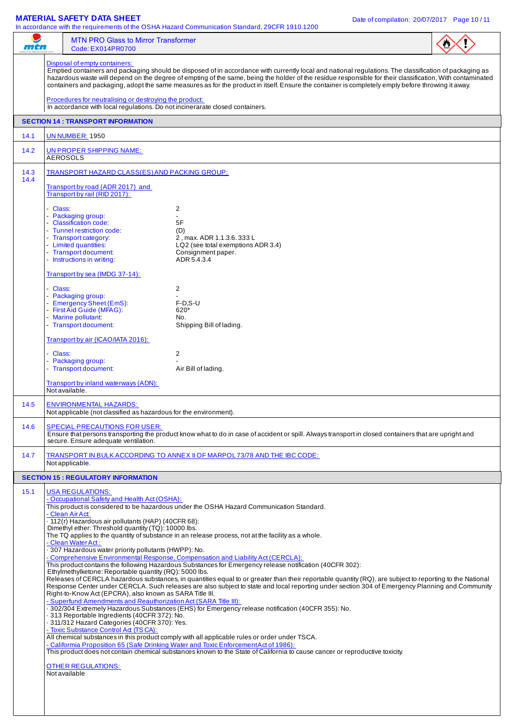| mtn          |                                                                                   | <b>MTN PRO Glass to Mirror Transformer</b><br>Code: EX014PR0700                                                                                                                                                                                                                                                                                                                                                                                                                                                                                                                                                            |                                                                                                                                                                                                                                                                                                                                                                                                                                                                                                                                                                                                                                                                                                                                                                                                                                                                                                                                                                                                                                                                                                                                              |  |  |  |
|--------------|-----------------------------------------------------------------------------------|----------------------------------------------------------------------------------------------------------------------------------------------------------------------------------------------------------------------------------------------------------------------------------------------------------------------------------------------------------------------------------------------------------------------------------------------------------------------------------------------------------------------------------------------------------------------------------------------------------------------------|----------------------------------------------------------------------------------------------------------------------------------------------------------------------------------------------------------------------------------------------------------------------------------------------------------------------------------------------------------------------------------------------------------------------------------------------------------------------------------------------------------------------------------------------------------------------------------------------------------------------------------------------------------------------------------------------------------------------------------------------------------------------------------------------------------------------------------------------------------------------------------------------------------------------------------------------------------------------------------------------------------------------------------------------------------------------------------------------------------------------------------------------|--|--|--|
|              |                                                                                   | Disposal of empty containers:<br>Procedures for neutralising or destroying the product:<br>In accordance with local regulations. Do not incinerarate closed containers.                                                                                                                                                                                                                                                                                                                                                                                                                                                    | Emptied containers and packaging should be disposed of in accordance with currently local and national regulations. The classification of packaging as<br>hazardous waste will depend on the degree of empting of the same, being the holder of the residue responsible for their classification, With contaminated<br>containers and packaging, adopt the same measures as for the product in itself. Ensure the container is completely empty before throwing it away.                                                                                                                                                                                                                                                                                                                                                                                                                                                                                                                                                                                                                                                                     |  |  |  |
|              |                                                                                   | <b>SECTION 14 : TRANSPORT INFORMATION</b>                                                                                                                                                                                                                                                                                                                                                                                                                                                                                                                                                                                  |                                                                                                                                                                                                                                                                                                                                                                                                                                                                                                                                                                                                                                                                                                                                                                                                                                                                                                                                                                                                                                                                                                                                              |  |  |  |
| 14.1         |                                                                                   | <b>UN NUMBER: 1950</b>                                                                                                                                                                                                                                                                                                                                                                                                                                                                                                                                                                                                     |                                                                                                                                                                                                                                                                                                                                                                                                                                                                                                                                                                                                                                                                                                                                                                                                                                                                                                                                                                                                                                                                                                                                              |  |  |  |
| 14.2         |                                                                                   | UN PROPER SHIPPING NAME:<br><b>AEROSOLS</b>                                                                                                                                                                                                                                                                                                                                                                                                                                                                                                                                                                                |                                                                                                                                                                                                                                                                                                                                                                                                                                                                                                                                                                                                                                                                                                                                                                                                                                                                                                                                                                                                                                                                                                                                              |  |  |  |
| 14.3<br>14.4 | TRANSPORT HAZARD CLASS(ES) AND PACKING GROUP:<br>Transport by road (ADR 2017) and |                                                                                                                                                                                                                                                                                                                                                                                                                                                                                                                                                                                                                            |                                                                                                                                                                                                                                                                                                                                                                                                                                                                                                                                                                                                                                                                                                                                                                                                                                                                                                                                                                                                                                                                                                                                              |  |  |  |
|              | - Class:                                                                          | Transport by rail (RID 2017):<br>- Packaging group:<br>- Classification code:<br>- Tunnel restriction code:<br>- Transport category:<br>- Limited quantities:<br>- Transport document:<br>- Instructions in writing:                                                                                                                                                                                                                                                                                                                                                                                                       | $\overline{2}$<br>5F<br>(D)<br>2, max. ADR 1.1.3.6. 333 L<br>LQ2 (see total exemptions ADR 3.4)<br>Consignment paper.<br>ADR 5.4.3.4                                                                                                                                                                                                                                                                                                                                                                                                                                                                                                                                                                                                                                                                                                                                                                                                                                                                                                                                                                                                         |  |  |  |
|              | - Class:                                                                          | Transport by sea (IMDG 37-14):<br>- Packaging group:<br>- Emergency Sheet (EmS):<br>- First Aid Guide (MFAG):<br>- Marine pollutant:<br>- Transport document:                                                                                                                                                                                                                                                                                                                                                                                                                                                              | $\overline{2}$<br>$F-D.S-U$<br>620*<br>No.<br>Shipping Bill of lading.                                                                                                                                                                                                                                                                                                                                                                                                                                                                                                                                                                                                                                                                                                                                                                                                                                                                                                                                                                                                                                                                       |  |  |  |
|              | - Class:                                                                          | Transport by air (ICAO/IATA 2016):<br>- Packaging group:<br>- Transport document:                                                                                                                                                                                                                                                                                                                                                                                                                                                                                                                                          | $\overline{2}$<br>Air Bill of lading.                                                                                                                                                                                                                                                                                                                                                                                                                                                                                                                                                                                                                                                                                                                                                                                                                                                                                                                                                                                                                                                                                                        |  |  |  |
|              |                                                                                   | Transport by inland waterways (ADN):<br>Not available.                                                                                                                                                                                                                                                                                                                                                                                                                                                                                                                                                                     |                                                                                                                                                                                                                                                                                                                                                                                                                                                                                                                                                                                                                                                                                                                                                                                                                                                                                                                                                                                                                                                                                                                                              |  |  |  |
| 14.5         |                                                                                   | <b>ENVIRONMENTAL HAZARDS:</b><br>Not applicable (not classified as hazardous for the environment).                                                                                                                                                                                                                                                                                                                                                                                                                                                                                                                         |                                                                                                                                                                                                                                                                                                                                                                                                                                                                                                                                                                                                                                                                                                                                                                                                                                                                                                                                                                                                                                                                                                                                              |  |  |  |
| 14.6         |                                                                                   | <b>SPECIAL PRECAUTIONS FOR USER:</b><br>secure. Ensure adequate ventilation.                                                                                                                                                                                                                                                                                                                                                                                                                                                                                                                                               | Ensure that persons transporting the product know what to do in case of accident or spill. Always transport in closed containers that are upright and                                                                                                                                                                                                                                                                                                                                                                                                                                                                                                                                                                                                                                                                                                                                                                                                                                                                                                                                                                                        |  |  |  |
| 14.7         |                                                                                   | Not applicable.                                                                                                                                                                                                                                                                                                                                                                                                                                                                                                                                                                                                            | TRANSPORT IN BULK ACCORDING TO ANNEX II OF MARPOL 73/78 AND THE IBC CODE:                                                                                                                                                                                                                                                                                                                                                                                                                                                                                                                                                                                                                                                                                                                                                                                                                                                                                                                                                                                                                                                                    |  |  |  |
|              |                                                                                   | <b>SECTION 15: REGULATORY INFORMATION</b>                                                                                                                                                                                                                                                                                                                                                                                                                                                                                                                                                                                  |                                                                                                                                                                                                                                                                                                                                                                                                                                                                                                                                                                                                                                                                                                                                                                                                                                                                                                                                                                                                                                                                                                                                              |  |  |  |
| 15.1         |                                                                                   | <b>USA REGULATIONS:</b><br>- Occupational Safety and Health Act (OSHA):<br>- Clean Air Act:<br>- 112(r) Hazardous air pollutants (HAP) (40CFR 68):<br>Dimethyl ether: Threshold quantity (TQ): 10000 lbs.<br>- Clean Water Act:<br>. 307 Hazardous water priority pollutants (HWPP): No.<br>Ethylmethylketone: Reportable quantity (RQ): 5000 lbs.<br>Right-to-Know Act (EPCRA), also known as SARA Title III.<br>- Superfund Amendments and Reauthorization Act (SARA Title III):<br>313 Reportable Ingredients (40CFR 372): No.<br>- 311/312 Hazard Categories (40CFR 370): Yes.<br>- Toxic Substance Control Ad (TSCA): | This product is considered to be hazardous under the OSHA Hazard Communication Standard.<br>The TQ applies to the quantity of substance in an release process, not at the facility as a whole.<br>- Comprehensive Environmental Response, Compensation and Liability Act (CERCLA):<br>This product contains the following Hazardous Substances for Emergency release notification (40CFR 302):<br>Releases of CERCLA hazardous substances, in quantities equal to or greater than their reportable quantity (RQ). are subject to reporting to the National<br>Response Center under CERCLA. Such releases are also subject to state and local reporting under section 304 of Emergency Planning and Community<br>- 302/304 Extremely Hazardous Substances (EHS) for Emergency release notification (40CFR 355): No.<br>All chemical substances in this product comply with all applicable rules or order under TSCA.<br>- Califormia Proposition 65 (Safe Drinking Water and Toxic Enforcement Act of 1986):<br>This product does not contain chemical substances known to the State of California to cause cancer or reproductive toxicity. |  |  |  |
|              |                                                                                   | <b>OTHER REGULATIONS:</b><br>Not available                                                                                                                                                                                                                                                                                                                                                                                                                                                                                                                                                                                 |                                                                                                                                                                                                                                                                                                                                                                                                                                                                                                                                                                                                                                                                                                                                                                                                                                                                                                                                                                                                                                                                                                                                              |  |  |  |